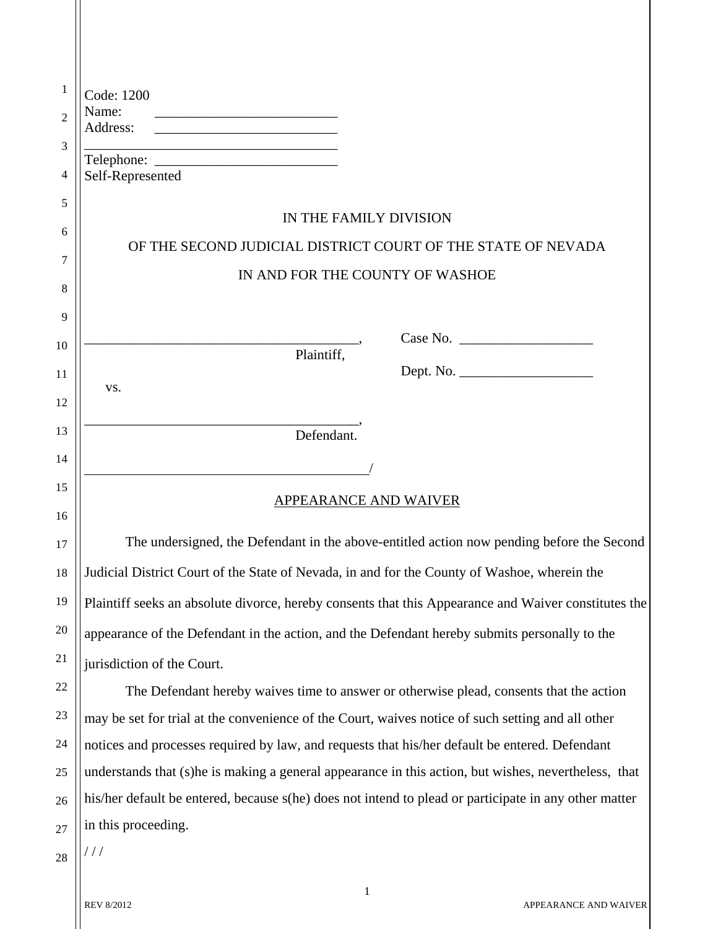| 1              | Code: 1200                                                                                                                                                                                                                                                |  |  |  |
|----------------|-----------------------------------------------------------------------------------------------------------------------------------------------------------------------------------------------------------------------------------------------------------|--|--|--|
| $\overline{2}$ | Name:<br>Address:<br><u> 1989 - Johann Harry Harry Harry Harry Harry Harry Harry Harry Harry Harry Harry Harry Harry Harry Harry Harry Harry Harry Harry Harry Harry Harry Harry Harry Harry Harry Harry Harry Harry Harry Harry Harry Harry Harry Ha</u> |  |  |  |
| 3              |                                                                                                                                                                                                                                                           |  |  |  |
| 4              | Self-Represented                                                                                                                                                                                                                                          |  |  |  |
| 5              |                                                                                                                                                                                                                                                           |  |  |  |
| 6              | IN THE FAMILY DIVISION                                                                                                                                                                                                                                    |  |  |  |
| 7              | OF THE SECOND JUDICIAL DISTRICT COURT OF THE STATE OF NEVADA                                                                                                                                                                                              |  |  |  |
| 8              | IN AND FOR THE COUNTY OF WASHOE                                                                                                                                                                                                                           |  |  |  |
| 9              |                                                                                                                                                                                                                                                           |  |  |  |
| 10             | Case No.                                                                                                                                                                                                                                                  |  |  |  |
|                | Plaintiff,<br>Dept. No.                                                                                                                                                                                                                                   |  |  |  |
| 11             | VS.                                                                                                                                                                                                                                                       |  |  |  |
| 12             |                                                                                                                                                                                                                                                           |  |  |  |
| 13             | Defendant.                                                                                                                                                                                                                                                |  |  |  |
| 14             |                                                                                                                                                                                                                                                           |  |  |  |
| 15             | <b>APPEARANCE AND WAIVER</b>                                                                                                                                                                                                                              |  |  |  |
| 16             |                                                                                                                                                                                                                                                           |  |  |  |
| 17             | The undersigned, the Defendant in the above-entitled action now pending before the Second                                                                                                                                                                 |  |  |  |
| 18             | Judicial District Court of the State of Nevada, in and for the County of Washoe, wherein the                                                                                                                                                              |  |  |  |
| 19             | Plaintiff seeks an absolute divorce, hereby consents that this Appearance and Waiver constitutes the                                                                                                                                                      |  |  |  |
| 20             | appearance of the Defendant in the action, and the Defendant hereby submits personally to the                                                                                                                                                             |  |  |  |
| 21             | jurisdiction of the Court.                                                                                                                                                                                                                                |  |  |  |
| 22             | The Defendant hereby waives time to answer or otherwise plead, consents that the action                                                                                                                                                                   |  |  |  |
| 23             | may be set for trial at the convenience of the Court, waives notice of such setting and all other                                                                                                                                                         |  |  |  |
| 24             | notices and processes required by law, and requests that his/her default be entered. Defendant                                                                                                                                                            |  |  |  |
| 25             | understands that (s) he is making a general appearance in this action, but wishes, nevertheless, that                                                                                                                                                     |  |  |  |
| 26             | his/her default be entered, because s(he) does not intend to plead or participate in any other matter                                                                                                                                                     |  |  |  |
| 27             | in this proceeding.                                                                                                                                                                                                                                       |  |  |  |
| 28             | ///                                                                                                                                                                                                                                                       |  |  |  |

1